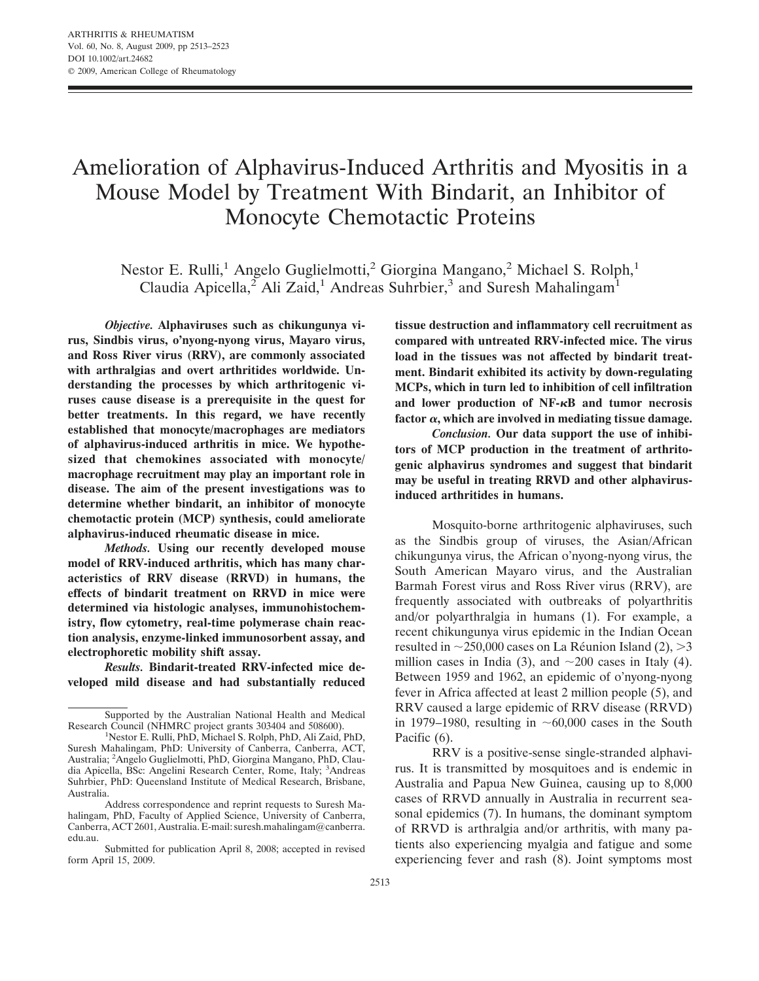# Amelioration of Alphavirus-Induced Arthritis and Myositis in a Mouse Model by Treatment With Bindarit, an Inhibitor of Monocyte Chemotactic Proteins

Nestor E. Rulli,<sup>1</sup> Angelo Guglielmotti,<sup>2</sup> Giorgina Mangano,<sup>2</sup> Michael S. Rolph,<sup>1</sup> Claudia Apicella,<sup>2</sup> Ali Zaid,<sup>1</sup> Andreas Suhrbier,<sup>3</sup> and Suresh Mahalingam<sup>1</sup>

*Objective.* **Alphaviruses such as chikungunya virus, Sindbis virus, o'nyong-nyong virus, Mayaro virus, and Ross River virus (RRV), are commonly associated with arthralgias and overt arthritides worldwide. Understanding the processes by which arthritogenic viruses cause disease is a prerequisite in the quest for better treatments. In this regard, we have recently established that monocyte/macrophages are mediators of alphavirus-induced arthritis in mice. We hypothesized that chemokines associated with monocyte/ macrophage recruitment may play an important role in disease. The aim of the present investigations was to determine whether bindarit, an inhibitor of monocyte chemotactic protein (MCP) synthesis, could ameliorate alphavirus-induced rheumatic disease in mice.**

*Methods.* **Using our recently developed mouse model of RRV-induced arthritis, which has many characteristics of RRV disease (RRVD) in humans, the effects of bindarit treatment on RRVD in mice were determined via histologic analyses, immunohistochemistry, flow cytometry, real-time polymerase chain reaction analysis, enzyme-linked immunosorbent assay, and electrophoretic mobility shift assay.**

*Results.* **Bindarit-treated RRV-infected mice developed mild disease and had substantially reduced** **tissue destruction and inflammatory cell recruitment as compared with untreated RRV-infected mice. The virus load in the tissues was not affected by bindarit treatment. Bindarit exhibited its activity by down-regulating MCPs, which in turn led to inhibition of cell infiltration and lower production of NF-B and tumor necrosis** factor  $\alpha$ , which are involved in mediating tissue damage.

*Conclusion.* **Our data support the use of inhibitors of MCP production in the treatment of arthritogenic alphavirus syndromes and suggest that bindarit may be useful in treating RRVD and other alphavirusinduced arthritides in humans.**

Mosquito-borne arthritogenic alphaviruses, such as the Sindbis group of viruses, the Asian/African chikungunya virus, the African o'nyong-nyong virus, the South American Mayaro virus, and the Australian Barmah Forest virus and Ross River virus (RRV), are frequently associated with outbreaks of polyarthritis and/or polyarthralgia in humans (1). For example, a recent chikungunya virus epidemic in the Indian Ocean resulted in  $\sim$ 250,000 cases on La Réunion Island (2),  $>$ 3 million cases in India (3), and  $\sim$  200 cases in Italy (4). Between 1959 and 1962, an epidemic of o'nyong-nyong fever in Africa affected at least 2 million people (5), and RRV caused a large epidemic of RRV disease (RRVD) in 1979–1980, resulting in  $\sim 60,000$  cases in the South Pacific (6).

Supported by the Australian National Health and Medical Research Council (NHMRC project grants 303404 and 508600).

<sup>1</sup>Nestor E. Rulli, PhD, Michael S. Rolph, PhD, Ali Zaid, PhD, Suresh Mahalingam, PhD: University of Canberra, Canberra, ACT, Australia; <sup>2</sup>Angelo Guglielmotti, PhD, Giorgina Mangano, PhD, Claudia Apicella, BSc: Angelini Research Center, Rome, Italy; <sup>3</sup>Andreas Suhrbier, PhD: Queensland Institute of Medical Research, Brisbane, Australia.

Address correspondence and reprint requests to Suresh Mahalingam, PhD, Faculty of Applied Science, University of Canberra, Canberra, ACT 2601, Australia. E-mail: suresh.mahalingam@canberra. edu.au.

Submitted for publication April 8, 2008; accepted in revised form April 15, 2009.

RRV is a positive-sense single-stranded alphavirus. It is transmitted by mosquitoes and is endemic in Australia and Papua New Guinea, causing up to 8,000 cases of RRVD annually in Australia in recurrent seasonal epidemics (7). In humans, the dominant symptom of RRVD is arthralgia and/or arthritis, with many patients also experiencing myalgia and fatigue and some experiencing fever and rash (8). Joint symptoms most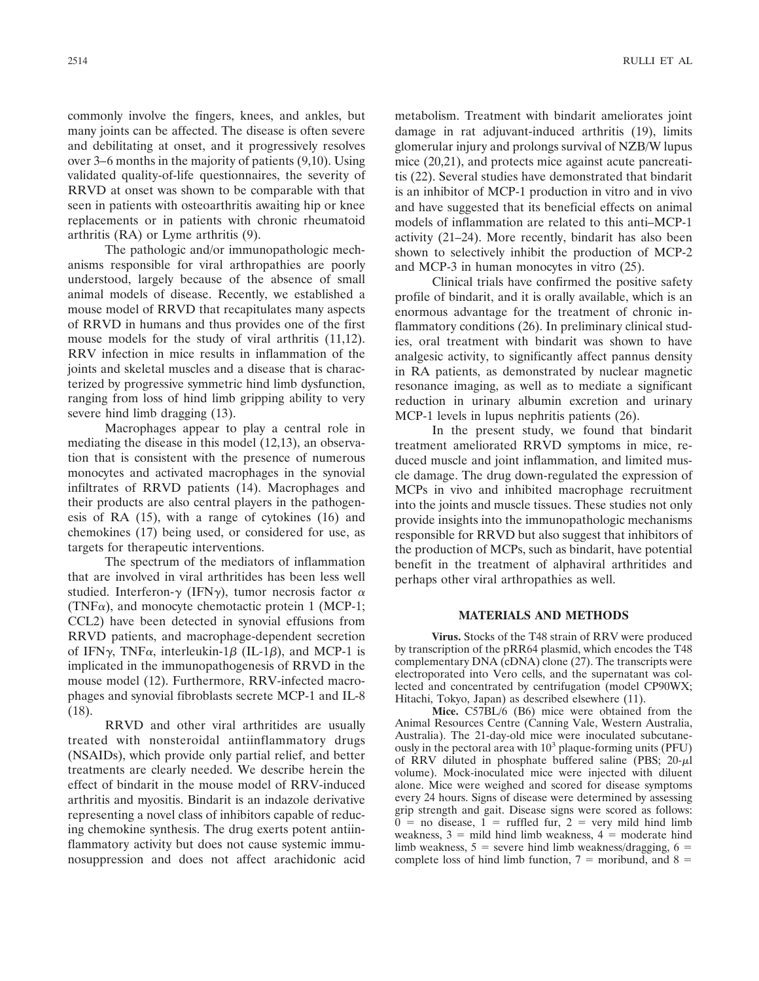commonly involve the fingers, knees, and ankles, but many joints can be affected. The disease is often severe and debilitating at onset, and it progressively resolves over 3–6 months in the majority of patients (9,10). Using validated quality-of-life questionnaires, the severity of RRVD at onset was shown to be comparable with that seen in patients with osteoarthritis awaiting hip or knee replacements or in patients with chronic rheumatoid arthritis (RA) or Lyme arthritis (9).

The pathologic and/or immunopathologic mechanisms responsible for viral arthropathies are poorly understood, largely because of the absence of small animal models of disease. Recently, we established a mouse model of RRVD that recapitulates many aspects of RRVD in humans and thus provides one of the first mouse models for the study of viral arthritis (11,12). RRV infection in mice results in inflammation of the joints and skeletal muscles and a disease that is characterized by progressive symmetric hind limb dysfunction, ranging from loss of hind limb gripping ability to very severe hind limb dragging (13).

Macrophages appear to play a central role in mediating the disease in this model (12,13), an observation that is consistent with the presence of numerous monocytes and activated macrophages in the synovial infiltrates of RRVD patients (14). Macrophages and their products are also central players in the pathogenesis of RA (15), with a range of cytokines (16) and chemokines (17) being used, or considered for use, as targets for therapeutic interventions.

The spectrum of the mediators of inflammation that are involved in viral arthritides has been less well studied. Interferon- $\gamma$  (IFN $\gamma$ ), tumor necrosis factor  $\alpha$  $(TNF\alpha)$ , and monocyte chemotactic protein 1 (MCP-1; CCL2) have been detected in synovial effusions from RRVD patients, and macrophage-dependent secretion of IFN $\gamma$ , TNF $\alpha$ , interleukin-1 $\beta$  (IL-1 $\beta$ ), and MCP-1 is implicated in the immunopathogenesis of RRVD in the mouse model (12). Furthermore, RRV-infected macrophages and synovial fibroblasts secrete MCP-1 and IL-8 (18).

RRVD and other viral arthritides are usually treated with nonsteroidal antiinflammatory drugs (NSAIDs), which provide only partial relief, and better treatments are clearly needed. We describe herein the effect of bindarit in the mouse model of RRV-induced arthritis and myositis. Bindarit is an indazole derivative representing a novel class of inhibitors capable of reducing chemokine synthesis. The drug exerts potent antiinflammatory activity but does not cause systemic immunosuppression and does not affect arachidonic acid

metabolism. Treatment with bindarit ameliorates joint damage in rat adjuvant-induced arthritis (19), limits glomerular injury and prolongs survival of NZB/W lupus mice (20,21), and protects mice against acute pancreatitis (22). Several studies have demonstrated that bindarit is an inhibitor of MCP-1 production in vitro and in vivo and have suggested that its beneficial effects on animal models of inflammation are related to this anti–MCP-1 activity (21–24). More recently, bindarit has also been shown to selectively inhibit the production of MCP-2 and MCP-3 in human monocytes in vitro (25).

Clinical trials have confirmed the positive safety profile of bindarit, and it is orally available, which is an enormous advantage for the treatment of chronic inflammatory conditions (26). In preliminary clinical studies, oral treatment with bindarit was shown to have analgesic activity, to significantly affect pannus density in RA patients, as demonstrated by nuclear magnetic resonance imaging, as well as to mediate a significant reduction in urinary albumin excretion and urinary MCP-1 levels in lupus nephritis patients (26).

In the present study, we found that bindarit treatment ameliorated RRVD symptoms in mice, reduced muscle and joint inflammation, and limited muscle damage. The drug down-regulated the expression of MCPs in vivo and inhibited macrophage recruitment into the joints and muscle tissues. These studies not only provide insights into the immunopathologic mechanisms responsible for RRVD but also suggest that inhibitors of the production of MCPs, such as bindarit, have potential benefit in the treatment of alphaviral arthritides and perhaps other viral arthropathies as well.

## **MATERIALS AND METHODS**

**Virus.** Stocks of the T48 strain of RRV were produced by transcription of the pRR64 plasmid, which encodes the T48 complementary DNA (cDNA) clone (27). The transcripts were electroporated into Vero cells, and the supernatant was collected and concentrated by centrifugation (model CP90WX; Hitachi, Tokyo, Japan) as described elsewhere (11).

**Mice.** C57BL/6 (B6) mice were obtained from the Animal Resources Centre (Canning Vale, Western Australia, Australia). The 21-day-old mice were inoculated subcutaneously in the pectoral area with 10<sup>3</sup> plaque-forming units (PFU) of RRV diluted in phosphate buffered saline (PBS;  $20-\mu$ l volume). Mock-inoculated mice were injected with diluent alone. Mice were weighed and scored for disease symptoms every 24 hours. Signs of disease were determined by assessing grip strength and gait. Disease signs were scored as follows:  $0 =$  no disease,  $1 =$  ruffled fur,  $2 =$  very mild hind limb weakness,  $3 =$  mild hind limb weakness,  $4 =$  moderate hind limb weakness,  $5$  = severe hind limb weakness/dragging, 6 = complete loss of hind limb function,  $7 =$  moribund, and  $8 =$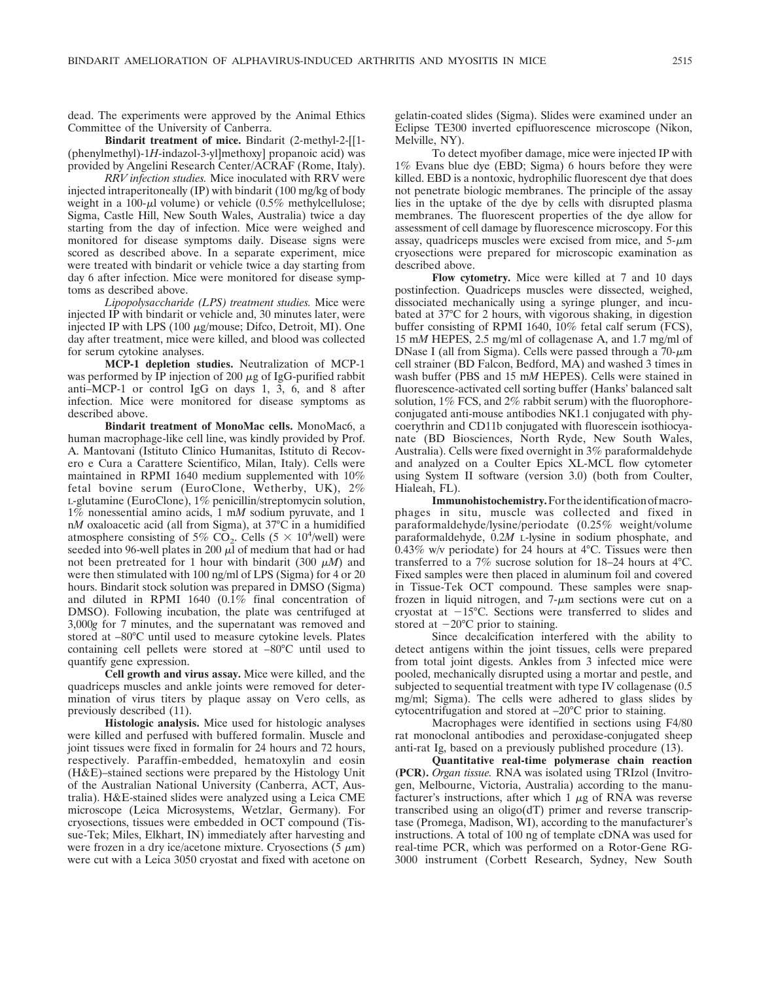dead. The experiments were approved by the Animal Ethics Committee of the University of Canberra.

**Bindarit treatment of mice.** Bindarit (2-methyl-2-[[1- (phenylmethyl)-1*H*-indazol-3-yl]methoxy] propanoic acid) was provided by Angelini Research Center/ACRAF (Rome, Italy).

*RRV infection studies.* Mice inoculated with RRV were injected intraperitoneally (IP) with bindarit (100 mg/kg of body weight in a 100- $\mu$ l volume) or vehicle (0.5% methylcellulose; Sigma, Castle Hill, New South Wales, Australia) twice a day starting from the day of infection. Mice were weighed and monitored for disease symptoms daily. Disease signs were scored as described above. In a separate experiment, mice were treated with bindarit or vehicle twice a day starting from day 6 after infection. Mice were monitored for disease symptoms as described above.

*Lipopolysaccharide (LPS) treatment studies.* Mice were injected IP with bindarit or vehicle and, 30 minutes later, were injected IP with LPS  $(100 \mu g/mouse; Difco, Detroit, MI)$ . One day after treatment, mice were killed, and blood was collected for serum cytokine analyses.

**MCP-1 depletion studies.** Neutralization of MCP-1 was performed by IP injection of 200  $\mu$ g of IgG-purified rabbit anti–MCP-1 or control IgG on days 1, 3, 6, and 8 after infection. Mice were monitored for disease symptoms as described above.

**Bindarit treatment of MonoMac cells.** MonoMac6, a human macrophage-like cell line, was kindly provided by Prof. A. Mantovani (Istituto Clinico Humanitas, Istituto di Recovero e Cura a Carattere Scientifico, Milan, Italy). Cells were maintained in RPMI 1640 medium supplemented with 10% fetal bovine serum (EuroClone, Wetherby, UK), 2% L-glutamine (EuroClone), 1% penicillin/streptomycin solution, 1% nonessential amino acids, 1 m*M* sodium pyruvate, and 1 n*M* oxaloacetic acid (all from Sigma), at 37°C in a humidified atmosphere consisting of 5%  $\overline{CO}_2$ . Cells (5  $\times$  10<sup>4</sup>/well) were seeded into 96-well plates in 200  $\mu$  of medium that had or had not been pretreated for 1 hour with bindarit (300  $\mu$ *M*) and were then stimulated with 100 ng/ml of LPS (Sigma) for 4 or 20 hours. Bindarit stock solution was prepared in DMSO (Sigma) and diluted in RPMI 1640 (0.1% final concentration of DMSO). Following incubation, the plate was centrifuged at 3,000*g* for 7 minutes, and the supernatant was removed and stored at –80°C until used to measure cytokine levels. Plates containing cell pellets were stored at –80°C until used to quantify gene expression.

**Cell growth and virus assay.** Mice were killed, and the quadriceps muscles and ankle joints were removed for determination of virus titers by plaque assay on Vero cells, as previously described (11).

**Histologic analysis.** Mice used for histologic analyses were killed and perfused with buffered formalin. Muscle and joint tissues were fixed in formalin for 24 hours and 72 hours, respectively. Paraffin-embedded, hematoxylin and eosin (H&E)–stained sections were prepared by the Histology Unit of the Australian National University (Canberra, ACT, Australia). H&E-stained slides were analyzed using a Leica CME microscope (Leica Microsystems, Wetzlar, Germany). For cryosections, tissues were embedded in OCT compound (Tissue-Tek; Miles, Elkhart, IN) immediately after harvesting and were frozen in a dry ice/acetone mixture. Cryosections  $(5 \mu m)$ were cut with a Leica 3050 cryostat and fixed with acetone on

gelatin-coated slides (Sigma). Slides were examined under an Eclipse TE300 inverted epifluorescence microscope (Nikon, Melville, NY).

To detect myofiber damage, mice were injected IP with 1% Evans blue dye (EBD; Sigma) 6 hours before they were killed. EBD is a nontoxic, hydrophilic fluorescent dye that does not penetrate biologic membranes. The principle of the assay lies in the uptake of the dye by cells with disrupted plasma membranes. The fluorescent properties of the dye allow for assessment of cell damage by fluorescence microscopy. For this assay, quadriceps muscles were excised from mice, and  $5-\mu m$ cryosections were prepared for microscopic examination as described above.

**Flow cytometry.** Mice were killed at 7 and 10 days postinfection. Quadriceps muscles were dissected, weighed, dissociated mechanically using a syringe plunger, and incubated at 37°C for 2 hours, with vigorous shaking, in digestion buffer consisting of RPMI 1640, 10% fetal calf serum (FCS), 15 m*M* HEPES, 2.5 mg/ml of collagenase A, and 1.7 mg/ml of DNase I (all from Sigma). Cells were passed through a  $70-\mu m$ cell strainer (BD Falcon, Bedford, MA) and washed 3 times in wash buffer (PBS and 15 m*M* HEPES). Cells were stained in fluorescence-activated cell sorting buffer (Hanks' balanced salt solution, 1% FCS, and 2% rabbit serum) with the fluorophoreconjugated anti-mouse antibodies NK1.1 conjugated with phycoerythrin and CD11b conjugated with fluorescein isothiocyanate (BD Biosciences, North Ryde, New South Wales, Australia). Cells were fixed overnight in 3% paraformaldehyde and analyzed on a Coulter Epics XL-MCL flow cytometer using System II software (version 3.0) (both from Coulter, Hialeah, FL).

**Immunohistochemistry.**Fortheidentificationofmacrophages in situ, muscle was collected and fixed in paraformaldehyde/lysine/periodate (0.25% weight/volume paraformaldehyde, 0.2*M* L-lysine in sodium phosphate, and 0.43% w/v periodate) for 24 hours at 4°C. Tissues were then transferred to a 7% sucrose solution for 18–24 hours at 4°C. Fixed samples were then placed in aluminum foil and covered in Tissue-Tek OCT compound. These samples were snapfrozen in liquid nitrogen, and  $7-\mu m$  sections were cut on a cryostat at  $-15^{\circ}$ C. Sections were transferred to slides and stored at  $-20^{\circ}$ C prior to staining.

Since decalcification interfered with the ability to detect antigens within the joint tissues, cells were prepared from total joint digests. Ankles from 3 infected mice were pooled, mechanically disrupted using a mortar and pestle, and subjected to sequential treatment with type IV collagenase (0.5 mg/ml; Sigma). The cells were adhered to glass slides by cytocentrifugation and stored at –20°C prior to staining.

Macrophages were identified in sections using F4/80 rat monoclonal antibodies and peroxidase-conjugated sheep anti-rat Ig, based on a previously published procedure (13).

**Quantitative real-time polymerase chain reaction (PCR).** *Organ tissue.* RNA was isolated using TRIzol (Invitrogen, Melbourne, Victoria, Australia) according to the manufacturer's instructions, after which  $1 \mu$ g of RNA was reverse transcribed using an oligo(dT) primer and reverse transcriptase (Promega, Madison, WI), according to the manufacturer's instructions. A total of 100 ng of template cDNA was used for real-time PCR, which was performed on a Rotor-Gene RG-3000 instrument (Corbett Research, Sydney, New South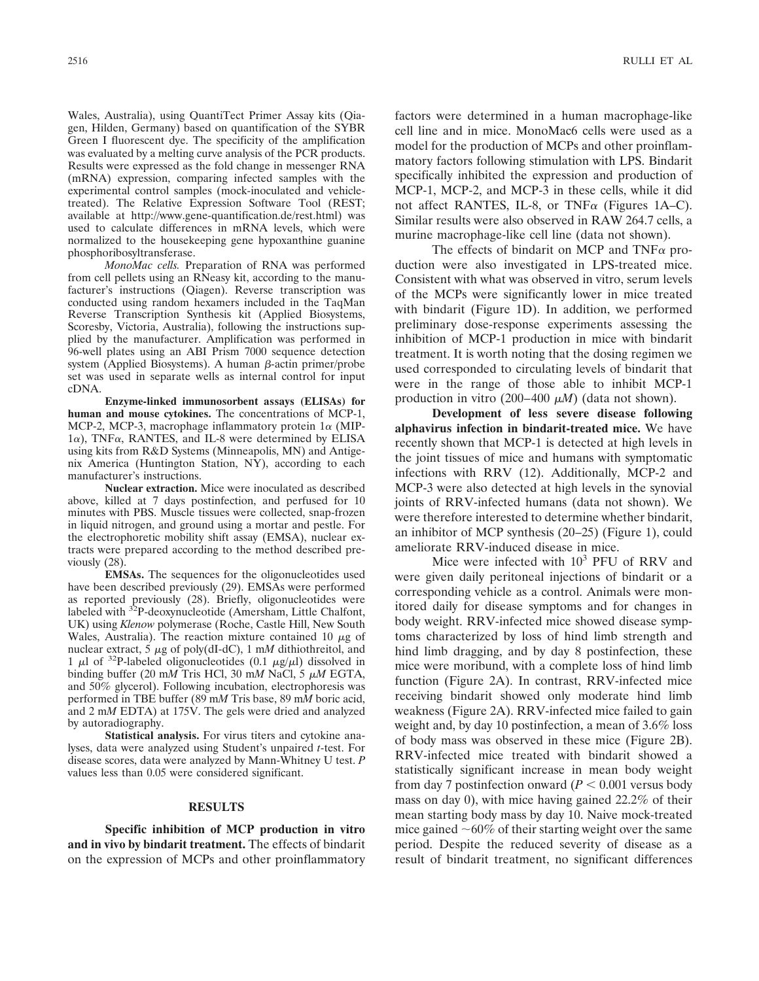Wales, Australia), using QuantiTect Primer Assay kits (Qiagen, Hilden, Germany) based on quantification of the SYBR Green I fluorescent dye. The specificity of the amplification was evaluated by a melting curve analysis of the PCR products. Results were expressed as the fold change in messenger RNA (mRNA) expression, comparing infected samples with the experimental control samples (mock-inoculated and vehicletreated). The Relative Expression Software Tool (REST; available at http://www.gene-quantification.de/rest.html) was used to calculate differences in mRNA levels, which were normalized to the housekeeping gene hypoxanthine guanine phosphoribosyltransferase.

*MonoMac cells.* Preparation of RNA was performed from cell pellets using an RNeasy kit, according to the manufacturer's instructions (Qiagen). Reverse transcription was conducted using random hexamers included in the TaqMan Reverse Transcription Synthesis kit (Applied Biosystems, Scoresby, Victoria, Australia), following the instructions supplied by the manufacturer. Amplification was performed in 96-well plates using an ABI Prism 7000 sequence detection system (Applied Biosystems). A human  $\beta$ -actin primer/probe set was used in separate wells as internal control for input cDNA.

**Enzyme-linked immunosorbent assays (ELISAs) for human and mouse cytokines.** The concentrations of MCP-1, MCP-2, MCP-3, macrophage inflammatory protein  $1\alpha$  (MIP- $1\alpha$ ), TNF $\alpha$ , RANTES, and IL-8 were determined by ELISA using kits from R&D Systems (Minneapolis, MN) and Antigenix America (Huntington Station, NY), according to each manufacturer's instructions.

**Nuclear extraction.** Mice were inoculated as described above, killed at 7 days postinfection, and perfused for 10 minutes with PBS. Muscle tissues were collected, snap-frozen in liquid nitrogen, and ground using a mortar and pestle. For the electrophoretic mobility shift assay (EMSA), nuclear extracts were prepared according to the method described previously (28).

**EMSAs.** The sequences for the oligonucleotides used have been described previously (29). EMSAs were performed as reported previously (28). Briefly, oligonucleotides were labeled with <sup>32</sup>P-deoxynucleotide (Amersham, Little Chalfont, UK) using *Klenow* polymerase (Roche, Castle Hill, New South Wales, Australia). The reaction mixture contained 10  $\mu$ g of nuclear extract, 5  $\mu$ g of poly(dI-dC), 1 mM dithiothreitol, and 1  $\mu$ l of <sup>32</sup>P-labeled oligonucleotides (0.1  $\mu$ g/ $\mu$ l) dissolved in binding buffer (20 mM Tris HCl, 30 mM NaCl, 5  $\mu$ M EGTA, and 50% glycerol). Following incubation, electrophoresis was performed in TBE buffer (89 m*M* Tris base, 89 m*M* boric acid, and 2 m*M* EDTA) at 175V. The gels were dried and analyzed by autoradiography.

**Statistical analysis.** For virus titers and cytokine analyses, data were analyzed using Student's unpaired *t*-test. For disease scores, data were analyzed by Mann-Whitney U test. *P* values less than 0.05 were considered significant.

#### **RESULTS**

**Specific inhibition of MCP production in vitro and in vivo by bindarit treatment.** The effects of bindarit on the expression of MCPs and other proinflammatory factors were determined in a human macrophage-like cell line and in mice. MonoMac6 cells were used as a model for the production of MCPs and other proinflammatory factors following stimulation with LPS. Bindarit specifically inhibited the expression and production of MCP-1, MCP-2, and MCP-3 in these cells, while it did not affect RANTES, IL-8, or TNF $\alpha$  (Figures 1A–C). Similar results were also observed in RAW 264.7 cells, a murine macrophage-like cell line (data not shown).

The effects of bindarit on MCP and  $TNF\alpha$  production were also investigated in LPS-treated mice. Consistent with what was observed in vitro, serum levels of the MCPs were significantly lower in mice treated with bindarit (Figure 1D). In addition, we performed preliminary dose-response experiments assessing the inhibition of MCP-1 production in mice with bindarit treatment. It is worth noting that the dosing regimen we used corresponded to circulating levels of bindarit that were in the range of those able to inhibit MCP-1 production in vitro (200–400 *M*) (data not shown).

**Development of less severe disease following alphavirus infection in bindarit-treated mice.** We have recently shown that MCP-1 is detected at high levels in the joint tissues of mice and humans with symptomatic infections with RRV (12). Additionally, MCP-2 and MCP-3 were also detected at high levels in the synovial joints of RRV-infected humans (data not shown). We were therefore interested to determine whether bindarit, an inhibitor of MCP synthesis (20–25) (Figure 1), could ameliorate RRV-induced disease in mice.

Mice were infected with  $10^3$  PFU of RRV and were given daily peritoneal injections of bindarit or a corresponding vehicle as a control. Animals were monitored daily for disease symptoms and for changes in body weight. RRV-infected mice showed disease symptoms characterized by loss of hind limb strength and hind limb dragging, and by day 8 postinfection, these mice were moribund, with a complete loss of hind limb function (Figure 2A). In contrast, RRV-infected mice receiving bindarit showed only moderate hind limb weakness (Figure 2A). RRV-infected mice failed to gain weight and, by day 10 postinfection, a mean of 3.6% loss of body mass was observed in these mice (Figure 2B). RRV-infected mice treated with bindarit showed a statistically significant increase in mean body weight from day 7 postinfection onward  $(P < 0.001$  versus body mass on day 0), with mice having gained 22.2% of their mean starting body mass by day 10. Naive mock-treated mice gained  $\sim 60\%$  of their starting weight over the same period. Despite the reduced severity of disease as a result of bindarit treatment, no significant differences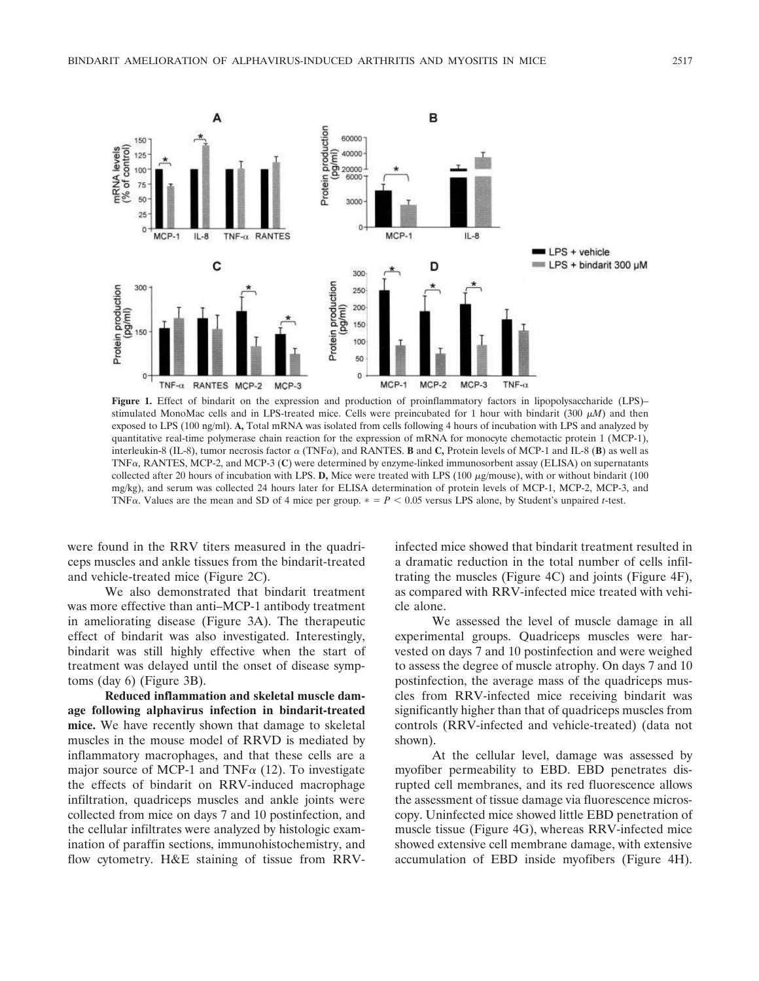

**Figure 1.** Effect of bindarit on the expression and production of proinflammatory factors in lipopolysaccharide (LPS)– stimulated MonoMac cells and in LPS-treated mice. Cells were preincubated for 1 hour with bindarit (300  $\mu$ M) and then exposed to LPS (100 ng/ml). **A,** Total mRNA was isolated from cells following 4 hours of incubation with LPS and analyzed by quantitative real-time polymerase chain reaction for the expression of mRNA for monocyte chemotactic protein 1 (MCP-1), interleukin-8 (IL-8), tumor necrosis factor  $\alpha$  (TNF $\alpha$ ), and RANTES. **B** and C, Protein levels of MCP-1 and IL-8 (**B**) as well as TNF $\alpha$ , RANTES, MCP-2, and MCP-3 (C) were determined by enzyme-linked immunosorbent assay (ELISA) on supernatants collected after 20 hours of incubation with LPS. D, Mice were treated with LPS (100  $\mu$ g/mouse), with or without bindarit (100 mg/kg), and serum was collected 24 hours later for ELISA determination of protein levels of MCP-1, MCP-2, MCP-3, and TNF $\alpha$ . Values are the mean and SD of 4 mice per group.  $* = P < 0.05$  versus LPS alone, by Student's unpaired *t*-test.

were found in the RRV titers measured in the quadriceps muscles and ankle tissues from the bindarit-treated and vehicle-treated mice (Figure 2C).

We also demonstrated that bindarit treatment was more effective than anti–MCP-1 antibody treatment in ameliorating disease (Figure 3A). The therapeutic effect of bindarit was also investigated. Interestingly, bindarit was still highly effective when the start of treatment was delayed until the onset of disease symptoms (day 6) (Figure 3B).

**Reduced inflammation and skeletal muscle damage following alphavirus infection in bindarit-treated mice.** We have recently shown that damage to skeletal muscles in the mouse model of RRVD is mediated by inflammatory macrophages, and that these cells are a major source of MCP-1 and TNF $\alpha$  (12). To investigate the effects of bindarit on RRV-induced macrophage infiltration, quadriceps muscles and ankle joints were collected from mice on days 7 and 10 postinfection, and the cellular infiltrates were analyzed by histologic examination of paraffin sections, immunohistochemistry, and flow cytometry. H&E staining of tissue from RRV-

infected mice showed that bindarit treatment resulted in a dramatic reduction in the total number of cells infiltrating the muscles (Figure 4C) and joints (Figure 4F), as compared with RRV-infected mice treated with vehicle alone.

We assessed the level of muscle damage in all experimental groups. Quadriceps muscles were harvested on days 7 and 10 postinfection and were weighed to assess the degree of muscle atrophy. On days 7 and 10 postinfection, the average mass of the quadriceps muscles from RRV-infected mice receiving bindarit was significantly higher than that of quadriceps muscles from controls (RRV-infected and vehicle-treated) (data not shown).

At the cellular level, damage was assessed by myofiber permeability to EBD. EBD penetrates disrupted cell membranes, and its red fluorescence allows the assessment of tissue damage via fluorescence microscopy. Uninfected mice showed little EBD penetration of muscle tissue (Figure 4G), whereas RRV-infected mice showed extensive cell membrane damage, with extensive accumulation of EBD inside myofibers (Figure 4H).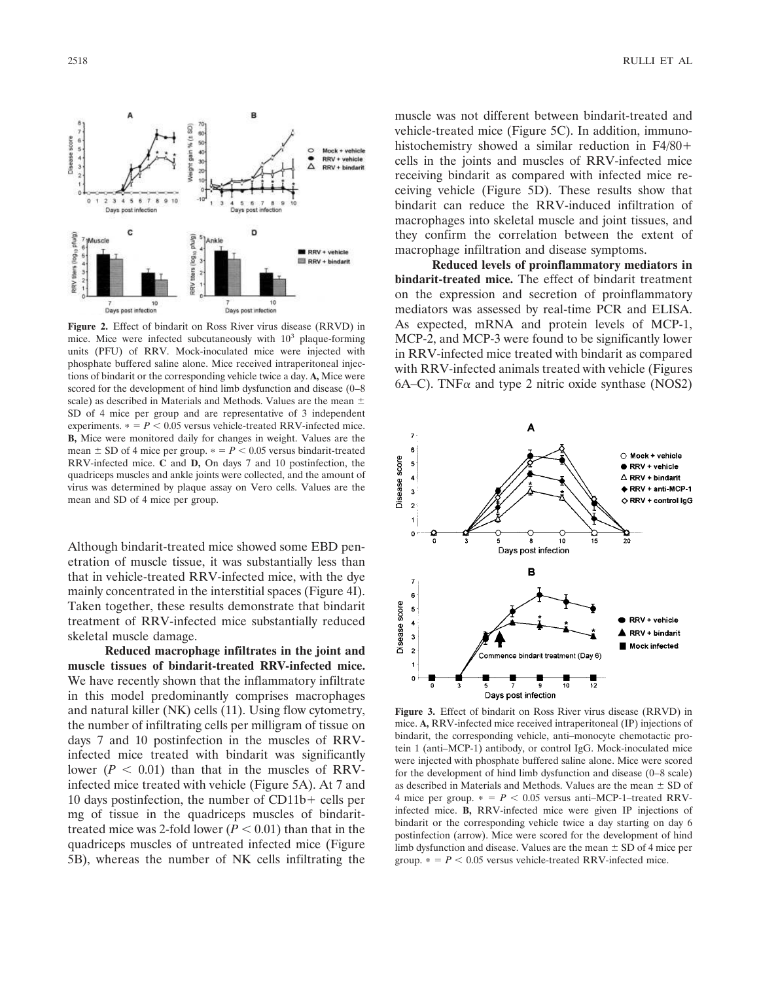

**Figure 2.** Effect of bindarit on Ross River virus disease (RRVD) in mice. Mice were infected subcutaneously with 10<sup>3</sup> plaque-forming units (PFU) of RRV. Mock-inoculated mice were injected with phosphate buffered saline alone. Mice received intraperitoneal injections of bindarit or the corresponding vehicle twice a day. **A,** Mice were scored for the development of hind limb dysfunction and disease (0–8 scale) as described in Materials and Methods. Values are the mean  $\pm$ SD of 4 mice per group and are representative of 3 independent experiments.  $* = P < 0.05$  versus vehicle-treated RRV-infected mice. **B,** Mice were monitored daily for changes in weight. Values are the mean  $\pm$  SD of 4 mice per group.  $\ast$  =  $P$  < 0.05 versus bindarit-treated RRV-infected mice. **C** and **D,** On days 7 and 10 postinfection, the quadriceps muscles and ankle joints were collected, and the amount of virus was determined by plaque assay on Vero cells. Values are the mean and SD of 4 mice per group.

Although bindarit-treated mice showed some EBD penetration of muscle tissue, it was substantially less than that in vehicle-treated RRV-infected mice, with the dye mainly concentrated in the interstitial spaces (Figure 4I). Taken together, these results demonstrate that bindarit treatment of RRV-infected mice substantially reduced skeletal muscle damage.

**Reduced macrophage infiltrates in the joint and muscle tissues of bindarit-treated RRV-infected mice.** We have recently shown that the inflammatory infiltrate in this model predominantly comprises macrophages and natural killer (NK) cells (11). Using flow cytometry, the number of infiltrating cells per milligram of tissue on days 7 and 10 postinfection in the muscles of RRVinfected mice treated with bindarit was significantly lower  $(P < 0.01)$  than that in the muscles of RRVinfected mice treated with vehicle (Figure 5A). At 7 and 10 days postinfection, the number of  $CD11b+$  cells per mg of tissue in the quadriceps muscles of bindarittreated mice was 2-fold lower  $(P < 0.01)$  than that in the quadriceps muscles of untreated infected mice (Figure 5B), whereas the number of NK cells infiltrating the muscle was not different between bindarit-treated and vehicle-treated mice (Figure 5C). In addition, immunohistochemistry showed a similar reduction in F4/80+ cells in the joints and muscles of RRV-infected mice receiving bindarit as compared with infected mice receiving vehicle (Figure 5D). These results show that bindarit can reduce the RRV-induced infiltration of macrophages into skeletal muscle and joint tissues, and they confirm the correlation between the extent of macrophage infiltration and disease symptoms.

**Reduced levels of proinflammatory mediators in bindarit-treated mice.** The effect of bindarit treatment on the expression and secretion of proinflammatory mediators was assessed by real-time PCR and ELISA. As expected, mRNA and protein levels of MCP-1, MCP-2, and MCP-3 were found to be significantly lower in RRV-infected mice treated with bindarit as compared with RRV-infected animals treated with vehicle (Figures 6A–C). TNF $\alpha$  and type 2 nitric oxide synthase (NOS2)



**Figure 3.** Effect of bindarit on Ross River virus disease (RRVD) in mice. **A,** RRV-infected mice received intraperitoneal (IP) injections of bindarit, the corresponding vehicle, anti–monocyte chemotactic protein 1 (anti–MCP-1) antibody, or control IgG. Mock-inoculated mice were injected with phosphate buffered saline alone. Mice were scored for the development of hind limb dysfunction and disease (0–8 scale) as described in Materials and Methods. Values are the mean  $\pm$  SD of 4 mice per group.  $* = P < 0.05$  versus anti–MCP-1–treated RRVinfected mice. **B,** RRV-infected mice were given IP injections of bindarit or the corresponding vehicle twice a day starting on day 6 postinfection (arrow). Mice were scored for the development of hind limb dysfunction and disease. Values are the mean  $\pm$  SD of 4 mice per group.  $* = P < 0.05$  versus vehicle-treated RRV-infected mice.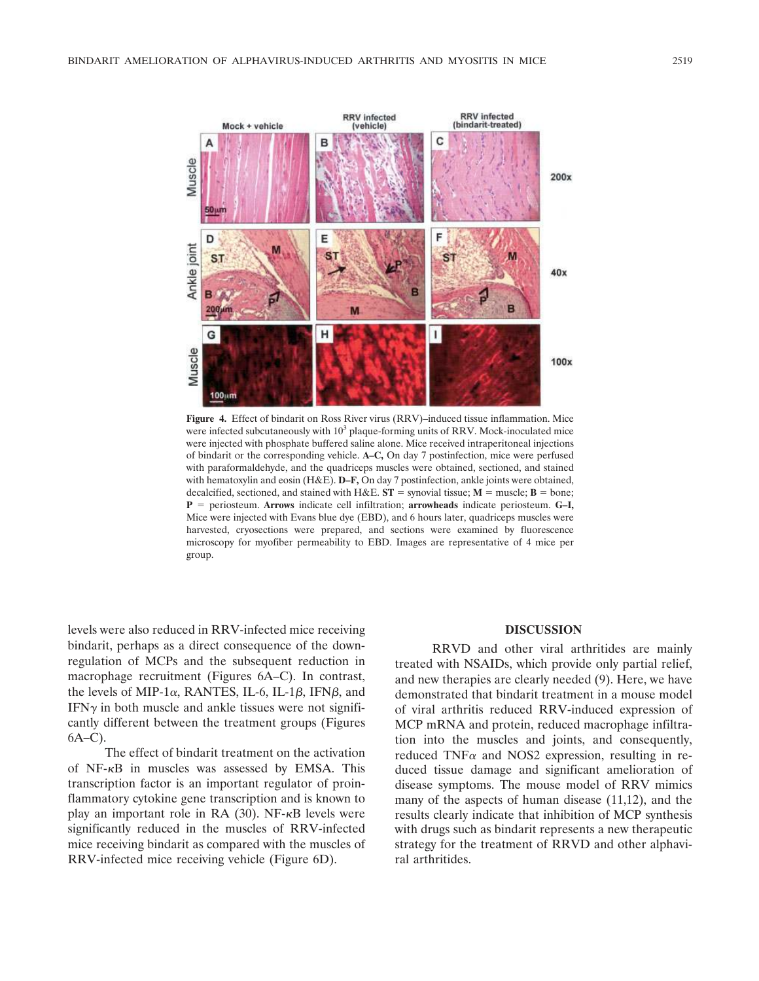

**Figure 4.** Effect of bindarit on Ross River virus (RRV)–induced tissue inflammation. Mice were infected subcutaneously with  $10^3$  plaque-forming units of RRV. Mock-inoculated mice were injected with phosphate buffered saline alone. Mice received intraperitoneal injections of bindarit or the corresponding vehicle. **A–C,** On day 7 postinfection, mice were perfused with paraformaldehyde, and the quadriceps muscles were obtained, sectioned, and stained with hematoxylin and eosin (H&E). **D–F**, On day 7 postinfection, ankle joints were obtained, decalcified, sectioned, and stained with H&E.  $ST =$  synovial tissue;  $M =$  muscle;  $B =$  bone; **P** periosteum. **Arrows** indicate cell infiltration; **arrowheads** indicate periosteum. **G–I,** Mice were injected with Evans blue dye (EBD), and 6 hours later, quadriceps muscles were harvested, cryosections were prepared, and sections were examined by fluorescence microscopy for myofiber permeability to EBD. Images are representative of 4 mice per group.

levels were also reduced in RRV-infected mice receiving bindarit, perhaps as a direct consequence of the downregulation of MCPs and the subsequent reduction in macrophage recruitment (Figures 6A–C). In contrast, the levels of MIP-1 $\alpha$ , RANTES, IL-6, IL-1 $\beta$ , IFN $\beta$ , and  $IFN<sub>\gamma</sub>$  in both muscle and ankle tissues were not significantly different between the treatment groups (Figures 6A–C).

The effect of bindarit treatment on the activation of  $NF-\kappa B$  in muscles was assessed by EMSA. This transcription factor is an important regulator of proinflammatory cytokine gene transcription and is known to play an important role in RA  $(30)$ . NF- $\kappa$ B levels were significantly reduced in the muscles of RRV-infected mice receiving bindarit as compared with the muscles of RRV-infected mice receiving vehicle (Figure 6D).

## **DISCUSSION**

RRVD and other viral arthritides are mainly treated with NSAIDs, which provide only partial relief, and new therapies are clearly needed (9). Here, we have demonstrated that bindarit treatment in a mouse model of viral arthritis reduced RRV-induced expression of MCP mRNA and protein, reduced macrophage infiltration into the muscles and joints, and consequently, reduced TNF $\alpha$  and NOS2 expression, resulting in reduced tissue damage and significant amelioration of disease symptoms. The mouse model of RRV mimics many of the aspects of human disease (11,12), and the results clearly indicate that inhibition of MCP synthesis with drugs such as bindarit represents a new therapeutic strategy for the treatment of RRVD and other alphaviral arthritides.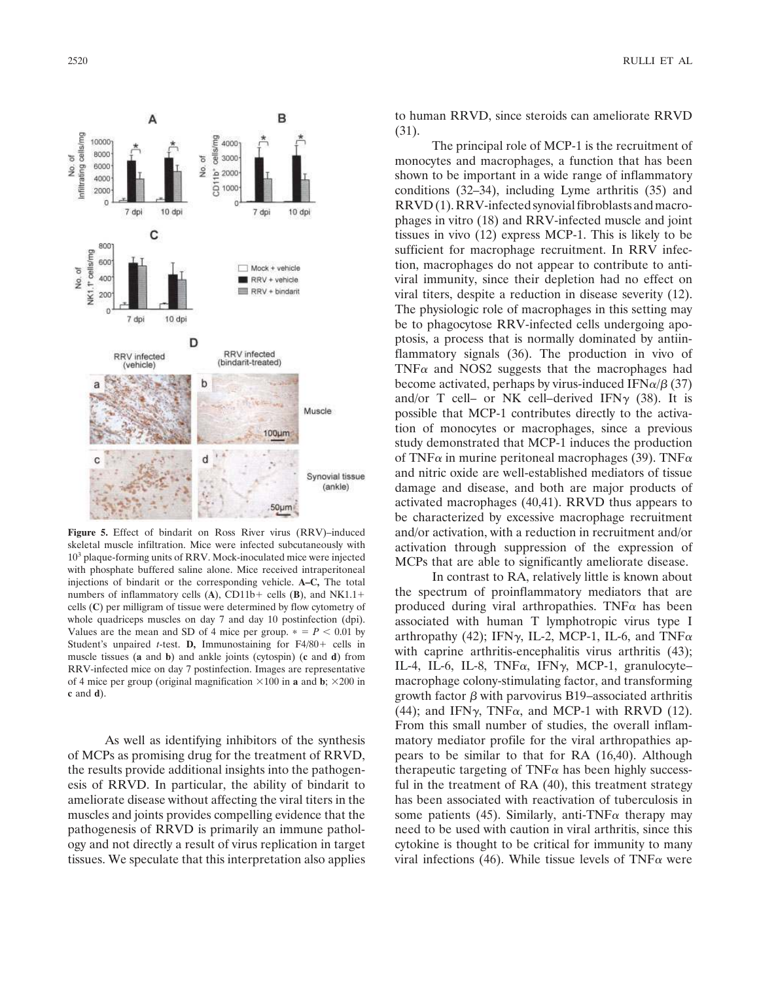

**Figure 5.** Effect of bindarit on Ross River virus (RRV)–induced skeletal muscle infiltration. Mice were infected subcutaneously with 10<sup>3</sup> plaque-forming units of RRV. Mock-inoculated mice were injected with phosphate buffered saline alone. Mice received intraperitoneal injections of bindarit or the corresponding vehicle. **A–C,** The total numbers of inflammatory cells (A), CD11b+ cells (B), and NK1.1+ cells (**C**) per milligram of tissue were determined by flow cytometry of whole quadriceps muscles on day 7 and day 10 postinfection (dpi). Values are the mean and SD of 4 mice per group.  $* = P < 0.01$  by Student's unpaired *t*-test. **D**, Immunostaining for  $F4/80 +$  cells in muscle tissues (**a** and **b**) and ankle joints (cytospin) (**c** and **d**) from RRV-infected mice on day 7 postinfection. Images are representative of 4 mice per group (original magnification  $\times 100$  in **a** and **b**;  $\times 200$  in **c** and **d**).

As well as identifying inhibitors of the synthesis of MCPs as promising drug for the treatment of RRVD, the results provide additional insights into the pathogenesis of RRVD. In particular, the ability of bindarit to ameliorate disease without affecting the viral titers in the muscles and joints provides compelling evidence that the pathogenesis of RRVD is primarily an immune pathology and not directly a result of virus replication in target tissues. We speculate that this interpretation also applies

2520 RULLI ET AL

to human RRVD, since steroids can ameliorate RRVD (31).

The principal role of MCP-1 is the recruitment of monocytes and macrophages, a function that has been shown to be important in a wide range of inflammatory conditions (32–34), including Lyme arthritis (35) and RRVD (1). RRV-infected synovial fibroblasts and macrophages in vitro (18) and RRV-infected muscle and joint tissues in vivo (12) express MCP-1. This is likely to be sufficient for macrophage recruitment. In RRV infection, macrophages do not appear to contribute to antiviral immunity, since their depletion had no effect on viral titers, despite a reduction in disease severity (12). The physiologic role of macrophages in this setting may be to phagocytose RRV-infected cells undergoing apoptosis, a process that is normally dominated by antiinflammatory signals (36). The production in vivo of TNF $\alpha$  and NOS2 suggests that the macrophages had become activated, perhaps by virus-induced IFN $\alpha/\beta$  (37) and/or T cell– or NK cell–derived IFN $\gamma$  (38). It is possible that MCP-1 contributes directly to the activation of monocytes or macrophages, since a previous study demonstrated that MCP-1 induces the production of TNF $\alpha$  in murine peritoneal macrophages (39). TNF $\alpha$ and nitric oxide are well-established mediators of tissue damage and disease, and both are major products of activated macrophages (40,41). RRVD thus appears to be characterized by excessive macrophage recruitment and/or activation, with a reduction in recruitment and/or activation through suppression of the expression of MCPs that are able to significantly ameliorate disease.

In contrast to RA, relatively little is known about the spectrum of proinflammatory mediators that are produced during viral arthropathies. TNF $\alpha$  has been associated with human T lymphotropic virus type I arthropathy (42); IFN $\gamma$ , IL-2, MCP-1, IL-6, and TNF $\alpha$ with caprine arthritis-encephalitis virus arthritis (43); IL-4, IL-6, IL-8, TNF $\alpha$ , IFN $\gamma$ , MCP-1, granulocytemacrophage colony-stimulating factor, and transforming growth factor  $\beta$  with parvovirus B19–associated arthritis (44); and IFN $\gamma$ , TNF $\alpha$ , and MCP-1 with RRVD (12). From this small number of studies, the overall inflammatory mediator profile for the viral arthropathies appears to be similar to that for RA (16,40). Although therapeutic targeting of TNF $\alpha$  has been highly successful in the treatment of RA (40), this treatment strategy has been associated with reactivation of tuberculosis in some patients (45). Similarly, anti-TNF $\alpha$  therapy may need to be used with caution in viral arthritis, since this cytokine is thought to be critical for immunity to many viral infections (46). While tissue levels of TNF $\alpha$  were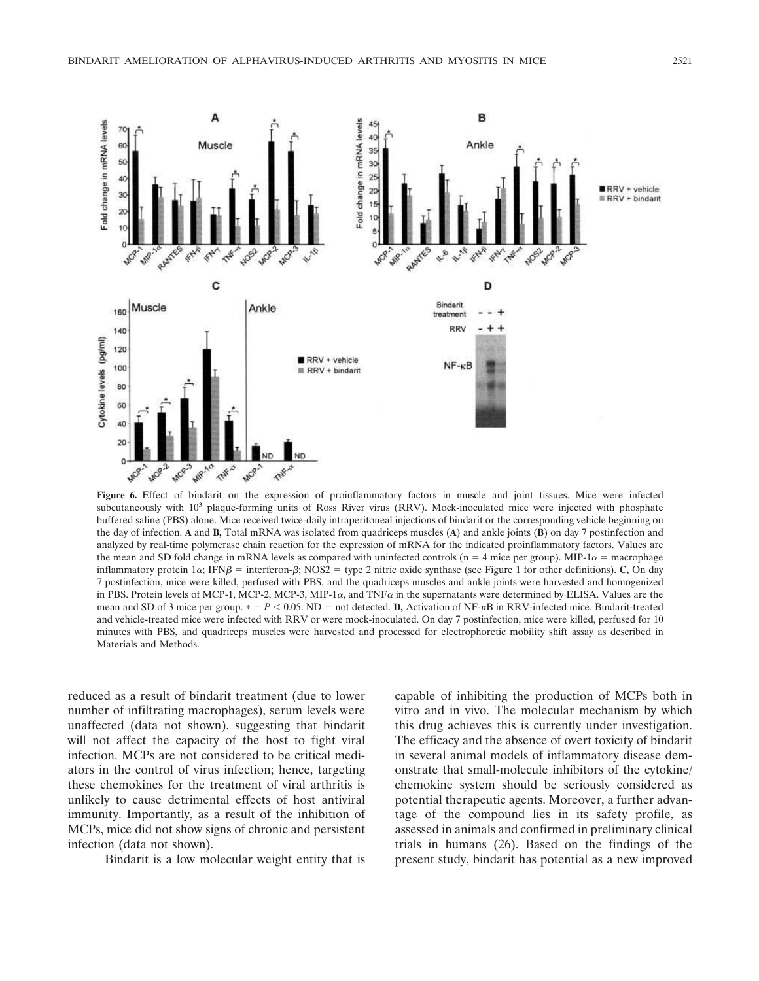

Figure 6. Effect of bindarit on the expression of proinflammatory factors in muscle and joint tissues. Mice were infected subcutaneously with 10<sup>3</sup> plaque-forming units of Ross River virus (RRV). Mock-inoculated mice were injected with phosphate buffered saline (PBS) alone. Mice received twice-daily intraperitoneal injections of bindarit or the corresponding vehicle beginning on the day of infection. **A** and **B,** Total mRNA was isolated from quadriceps muscles (**A**) and ankle joints (**B**) on day 7 postinfection and analyzed by real-time polymerase chain reaction for the expression of mRNA for the indicated proinflammatory factors. Values are the mean and SD fold change in mRNA levels as compared with uninfected controls ( $n = 4$  mice per group). MIP-1 $\alpha$  = macrophage inflammatory protein  $1\alpha$ ; IFN $\beta$  = interferon- $\beta$ ; NOS2 = type 2 nitric oxide synthase (see Figure 1 for other definitions). **C**, On day 7 postinfection, mice were killed, perfused with PBS, and the quadriceps muscles and ankle joints were harvested and homogenized in PBS. Protein levels of MCP-1, MCP-2, MCP-3, MIP-1 $\alpha$ , and TNF $\alpha$  in the supernatants were determined by ELISA. Values are the mean and SD of 3 mice per group.  $* = P < 0.05$ . ND = not detected. **D**, Activation of NF- $\kappa$ B in RRV-infected mice. Bindarit-treated and vehicle-treated mice were infected with RRV or were mock-inoculated. On day 7 postinfection, mice were killed, perfused for 10 minutes with PBS, and quadriceps muscles were harvested and processed for electrophoretic mobility shift assay as described in Materials and Methods.

reduced as a result of bindarit treatment (due to lower number of infiltrating macrophages), serum levels were unaffected (data not shown), suggesting that bindarit will not affect the capacity of the host to fight viral infection. MCPs are not considered to be critical mediators in the control of virus infection; hence, targeting these chemokines for the treatment of viral arthritis is unlikely to cause detrimental effects of host antiviral immunity. Importantly, as a result of the inhibition of MCPs, mice did not show signs of chronic and persistent infection (data not shown).

Bindarit is a low molecular weight entity that is

capable of inhibiting the production of MCPs both in vitro and in vivo. The molecular mechanism by which this drug achieves this is currently under investigation. The efficacy and the absence of overt toxicity of bindarit in several animal models of inflammatory disease demonstrate that small-molecule inhibitors of the cytokine/ chemokine system should be seriously considered as potential therapeutic agents. Moreover, a further advantage of the compound lies in its safety profile, as assessed in animals and confirmed in preliminary clinical trials in humans (26). Based on the findings of the present study, bindarit has potential as a new improved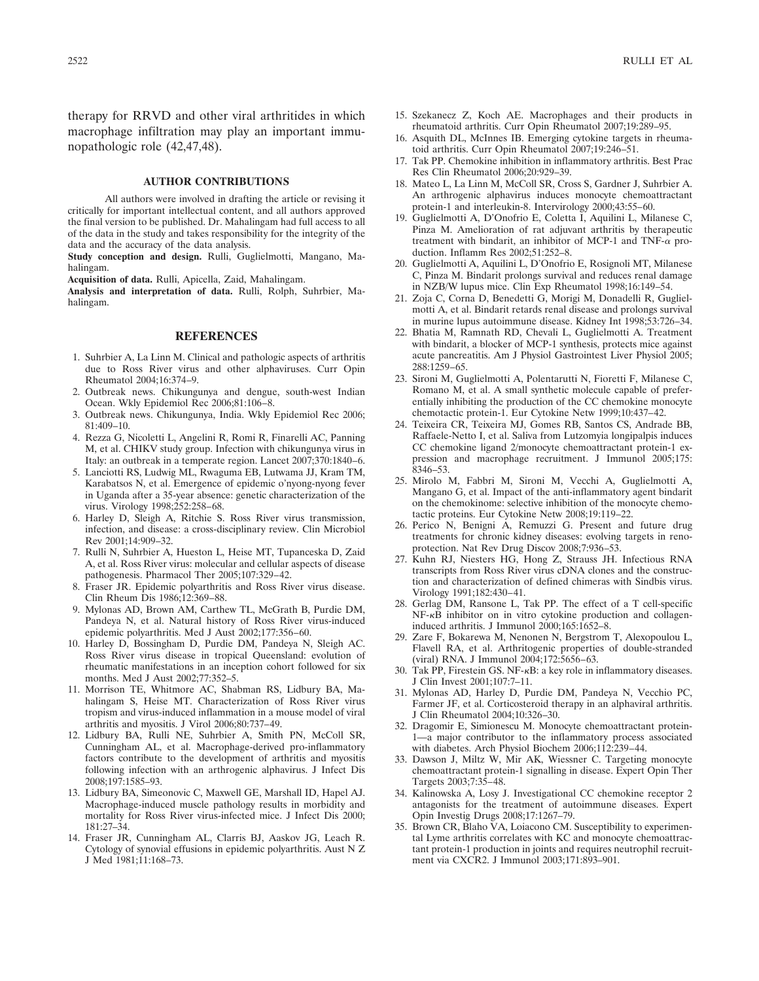therapy for RRVD and other viral arthritides in which macrophage infiltration may play an important immunopathologic role (42,47,48).

## **AUTHOR CONTRIBUTIONS**

All authors were involved in drafting the article or revising it critically for important intellectual content, and all authors approved the final version to be published. Dr. Mahalingam had full access to all of the data in the study and takes responsibility for the integrity of the data and the accuracy of the data analysis.

**Study conception and design.** Rulli, Guglielmotti, Mangano, Mahalingam.

**Acquisition of data.** Rulli, Apicella, Zaid, Mahalingam.

**Analysis and interpretation of data.** Rulli, Rolph, Suhrbier, Mahalingam.

#### **REFERENCES**

- 1. Suhrbier A, La Linn M. Clinical and pathologic aspects of arthritis due to Ross River virus and other alphaviruses. Curr Opin Rheumatol 2004;16:374–9.
- 2. Outbreak news. Chikungunya and dengue, south-west Indian Ocean. Wkly Epidemiol Rec 2006;81:106–8.
- 3. Outbreak news. Chikungunya, India. Wkly Epidemiol Rec 2006;  $81.409 - 10$
- 4. Rezza G, Nicoletti L, Angelini R, Romi R, Finarelli AC, Panning M, et al. CHIKV study group. Infection with chikungunya virus in Italy: an outbreak in a temperate region. Lancet 2007;370:1840–6.
- 5. Lanciotti RS, Ludwig ML, Rwaguma EB, Lutwama JJ, Kram TM, Karabatsos N, et al. Emergence of epidemic o'nyong-nyong fever in Uganda after a 35-year absence: genetic characterization of the virus. Virology 1998;252:258–68.
- 6. Harley D, Sleigh A, Ritchie S. Ross River virus transmission, infection, and disease: a cross-disciplinary review. Clin Microbiol Rev 2001;14:909–32.
- 7. Rulli N, Suhrbier A, Hueston L, Heise MT, Tupanceska D, Zaid A, et al. Ross River virus: molecular and cellular aspects of disease pathogenesis. Pharmacol Ther 2005;107:329–42.
- 8. Fraser JR. Epidemic polyarthritis and Ross River virus disease. Clin Rheum Dis 1986;12:369–88.
- 9. Mylonas AD, Brown AM, Carthew TL, McGrath B, Purdie DM, Pandeya N, et al. Natural history of Ross River virus-induced epidemic polyarthritis. Med J Aust 2002;177:356–60.
- 10. Harley D, Bossingham D, Purdie DM, Pandeya N, Sleigh AC. Ross River virus disease in tropical Queensland: evolution of rheumatic manifestations in an inception cohort followed for six months. Med J Aust 2002;77:352–5.
- 11. Morrison TE, Whitmore AC, Shabman RS, Lidbury BA, Mahalingam S, Heise MT. Characterization of Ross River virus tropism and virus-induced inflammation in a mouse model of viral arthritis and myositis. J Virol 2006;80:737–49.
- 12. Lidbury BA, Rulli NE, Suhrbier A, Smith PN, McColl SR, Cunningham AL, et al. Macrophage-derived pro-inflammatory factors contribute to the development of arthritis and myositis following infection with an arthrogenic alphavirus. J Infect Dis 2008;197:1585–93.
- 13. Lidbury BA, Simeonovic C, Maxwell GE, Marshall ID, Hapel AJ. Macrophage-induced muscle pathology results in morbidity and mortality for Ross River virus-infected mice. J Infect Dis 2000; 181:27–34.
- 14. Fraser JR, Cunningham AL, Clarris BJ, Aaskov JG, Leach R. Cytology of synovial effusions in epidemic polyarthritis. Aust N Z J Med 1981;11:168–73.
- 15. Szekanecz Z, Koch AE. Macrophages and their products in rheumatoid arthritis. Curr Opin Rheumatol 2007;19:289–95.
- 16. Asquith DL, McInnes IB. Emerging cytokine targets in rheumatoid arthritis. Curr Opin Rheumatol 2007;19:246–51.
- 17. Tak PP. Chemokine inhibition in inflammatory arthritis. Best Prac Res Clin Rheumatol 2006;20:929–39.
- 18. Mateo L, La Linn M, McColl SR, Cross S, Gardner J, Suhrbier A. An arthrogenic alphavirus induces monocyte chemoattractant protein-1 and interleukin-8. Intervirology 2000;43:55–60.
- 19. Guglielmotti A, D'Onofrio E, Coletta I, Aquilini L, Milanese C, Pinza M. Amelioration of rat adjuvant arthritis by therapeutic treatment with bindarit, an inhibitor of MCP-1 and TNF- $\alpha$  production. Inflamm Res 2002;51:252–8.
- 20. Guglielmotti A, Aquilini L, D'Onofrio E, Rosignoli MT, Milanese C, Pinza M. Bindarit prolongs survival and reduces renal damage in NZB/W lupus mice. Clin Exp Rheumatol 1998;16:149–54.
- 21. Zoja C, Corna D, Benedetti G, Morigi M, Donadelli R, Guglielmotti A, et al. Bindarit retards renal disease and prolongs survival in murine lupus autoimmune disease. Kidney Int 1998;53:726–34.
- 22. Bhatia M, Ramnath RD, Chevali L, Guglielmotti A. Treatment with bindarit, a blocker of MCP-1 synthesis, protects mice against acute pancreatitis. Am J Physiol Gastrointest Liver Physiol 2005; 288:1259–65.
- 23. Sironi M, Guglielmotti A, Polentarutti N, Fioretti F, Milanese C, Romano M, et al. A small synthetic molecule capable of preferentially inhibiting the production of the CC chemokine monocyte chemotactic protein-1. Eur Cytokine Netw 1999;10:437–42.
- 24. Teixeira CR, Teixeira MJ, Gomes RB, Santos CS, Andrade BB, Raffaele-Netto I, et al. Saliva from Lutzomyia longipalpis induces CC chemokine ligand 2/monocyte chemoattractant protein-1 expression and macrophage recruitment. J Immunol 2005;175: 8346–53.
- 25. Mirolo M, Fabbri M, Sironi M, Vecchi A, Guglielmotti A, Mangano G, et al. Impact of the anti-inflammatory agent bindarit on the chemokinome: selective inhibition of the monocyte chemotactic proteins. Eur Cytokine Netw 2008;19:119–22.
- 26. Perico N, Benigni A, Remuzzi G. Present and future drug treatments for chronic kidney diseases: evolving targets in renoprotection. Nat Rev Drug Discov 2008;7:936–53.
- 27. Kuhn RJ, Niesters HG, Hong Z, Strauss JH. Infectious RNA transcripts from Ross River virus cDNA clones and the construction and characterization of defined chimeras with Sindbis virus. Virology 1991;182:430–41.
- 28. Gerlag DM, Ransone L, Tak PP. The effect of a T cell-specific  $NF-\kappa B$  inhibitor on in vitro cytokine production and collageninduced arthritis. J Immunol 2000;165:1652–8.
- 29. Zare F, Bokarewa M, Nenonen N, Bergstrom T, Alexopoulou L, Flavell RA, et al. Arthritogenic properties of double-stranded (viral) RNA. J Immunol 2004;172:5656–63.
- 30. Tak PP, Firestein GS. NF- $\kappa$ B: a key role in inflammatory diseases. J Clin Invest 2001;107:7–11.
- 31. Mylonas AD, Harley D, Purdie DM, Pandeya N, Vecchio PC, Farmer JF, et al. Corticosteroid therapy in an alphaviral arthritis. J Clin Rheumatol 2004;10:326–30.
- 32. Dragomir E, Simionescu M. Monocyte chemoattractant protein-1—a major contributor to the inflammatory process associated with diabetes. Arch Physiol Biochem 2006;112:239–44.
- 33. Dawson J, Miltz W, Mir AK, Wiessner C. Targeting monocyte chemoattractant protein-1 signalling in disease. Expert Opin Ther Targets 2003;7:35–48.
- 34. Kalinowska A, Losy J. Investigational CC chemokine receptor 2 antagonists for the treatment of autoimmune diseases. Expert Opin Investig Drugs 2008;17:1267–79.
- 35. Brown CR, Blaho VA, Loiacono CM. Susceptibility to experimental Lyme arthritis correlates with KC and monocyte chemoattractant protein-1 production in joints and requires neutrophil recruitment via CXCR2. J Immunol 2003;171:893–901.